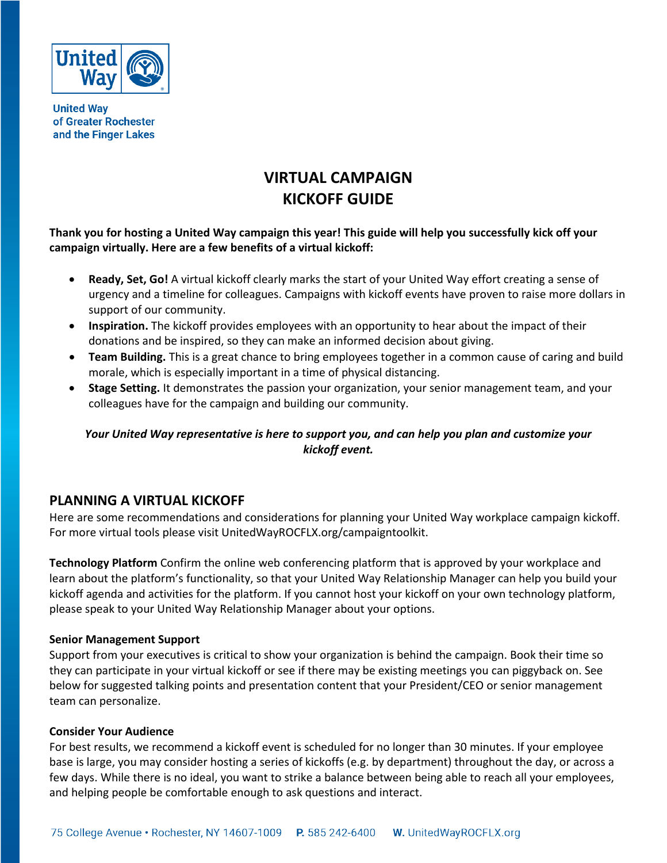

**United Way** of Greater Rochester and the Finger Lakes

# **VIRTUAL CAMPAIGN KICKOFF GUIDE**

**Thank you for hosting a United Way campaign this year! This guide will help you successfully kick off your campaign virtually. Here are a few benefits of a virtual kickoff:** 

- **Ready, Set, Go!** A virtual kickoff clearly marks the start of your United Way effort creating a sense of urgency and a timeline for colleagues. Campaigns with kickoff events have proven to raise more dollars in support of our community.
- **Inspiration.** The kickoff provides employees with an opportunity to hear about the impact of their donations and be inspired, so they can make an informed decision about giving.
- **Team Building.** This is a great chance to bring employees together in a common cause of caring and build morale, which is especially important in a time of physical distancing.
- **Stage Setting.** It demonstrates the passion your organization, your senior management team, and your colleagues have for the campaign and building our community.

## *Your United Way representative is here to support you, and can help you plan and customize your kickoff event.*

# **PLANNING A VIRTUAL KICKOFF**

Here are some recommendations and considerations for planning your United Way workplace campaign kickoff. For more virtual tools please visit UnitedWayROCFLX.org/campaigntoolkit.

**Technology Platform** Confirm the online web conferencing platform that is approved by your workplace and learn about the platform's functionality, so that your United Way Relationship Manager can help you build your kickoff agenda and activities for the platform. If you cannot host your kickoff on your own technology platform, please speak to your United Way Relationship Manager about your options.

### **Senior Management Support**

Support from your executives is critical to show your organization is behind the campaign. Book their time so they can participate in your virtual kickoff or see if there may be existing meetings you can piggyback on. See below for suggested talking points and presentation content that your President/CEO or senior management team can personalize.

### **Consider Your Audience**

For best results, we recommend a kickoff event is scheduled for no longer than 30 minutes. If your employee base is large, you may consider hosting a series of kickoffs (e.g. by department) throughout the day, or across a few days. While there is no ideal, you want to strike a balance between being able to reach all your employees, and helping people be comfortable enough to ask questions and interact.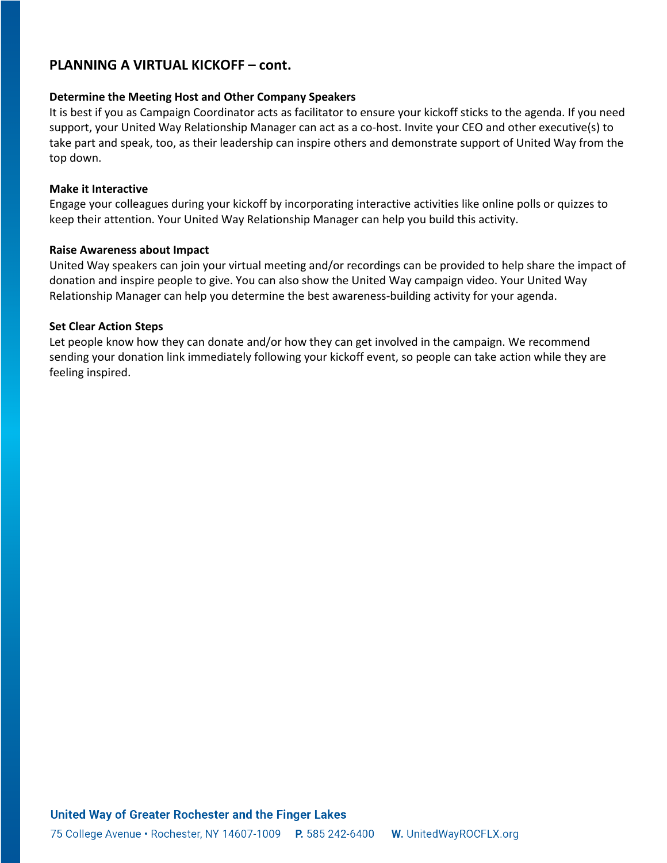# **PLANNING A VIRTUAL KICKOFF – cont.**

#### **Determine the Meeting Host and Other Company Speakers**

It is best if you as Campaign Coordinator acts as facilitator to ensure your kickoff sticks to the agenda. If you need support, your United Way Relationship Manager can act as a co-host. Invite your CEO and other executive(s) to take part and speak, too, as their leadership can inspire others and demonstrate support of United Way from the top down.

#### **Make it Interactive**

Engage your colleagues during your kickoff by incorporating interactive activities like online polls or quizzes to keep their attention. Your United Way Relationship Manager can help you build this activity.

#### **Raise Awareness about Impact**

United Way speakers can join your virtual meeting and/or recordings can be provided to help share the impact of donation and inspire people to give. You can also show the United Way campaign video. Your United Way Relationship Manager can help you determine the best awareness-building activity for your agenda.

#### **Set Clear Action Steps**

Let people know how they can donate and/or how they can get involved in the campaign. We recommend sending your donation link immediately following your kickoff event, so people can take action while they are feeling inspired.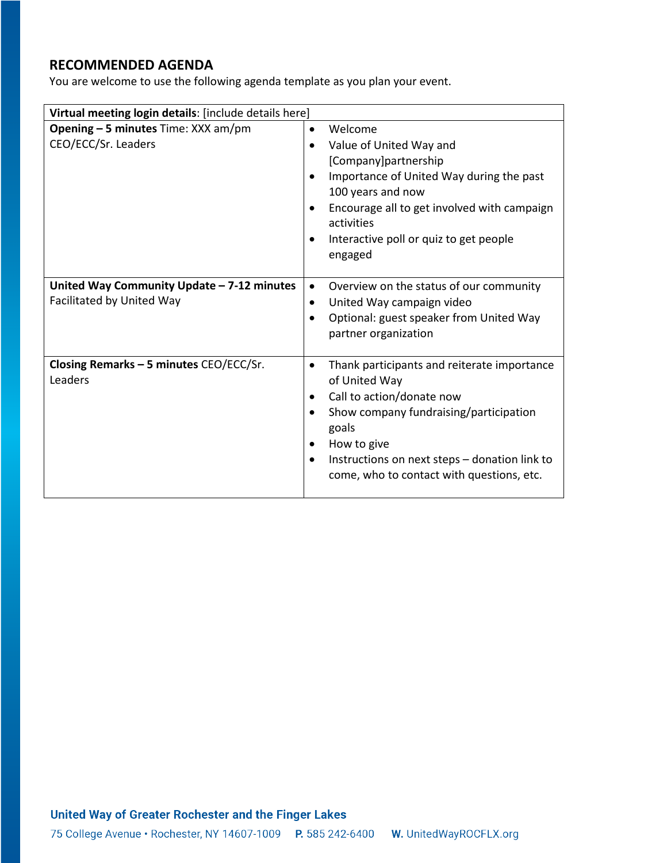# **RECOMMENDED AGENDA**

You are welcome to use the following agenda template as you plan your event.

| Virtual meeting login details: [include details here]                   |                                                                                                                                                                                                                                                                                                  |
|-------------------------------------------------------------------------|--------------------------------------------------------------------------------------------------------------------------------------------------------------------------------------------------------------------------------------------------------------------------------------------------|
| <b>Opening - 5 minutes</b> Time: XXX am/pm<br>CEO/ECC/Sr. Leaders       | Welcome<br>$\bullet$<br>Value of United Way and<br>$\bullet$<br>[Company]partnership<br>Importance of United Way during the past<br>100 years and now<br>Encourage all to get involved with campaign<br>activities                                                                               |
|                                                                         | Interactive poll or quiz to get people<br>$\bullet$<br>engaged                                                                                                                                                                                                                                   |
| United Way Community Update - 7-12 minutes<br>Facilitated by United Way | Overview on the status of our community<br>$\bullet$<br>United Way campaign video<br>$\bullet$<br>Optional: guest speaker from United Way<br>$\bullet$<br>partner organization                                                                                                                   |
| Closing Remarks - 5 minutes CEO/ECC/Sr.<br>Leaders                      | Thank participants and reiterate importance<br>$\bullet$<br>of United Way<br>Call to action/donate now<br>Show company fundraising/participation<br>goals<br>How to give<br>$\bullet$<br>Instructions on next steps - donation link to<br>$\bullet$<br>come, who to contact with questions, etc. |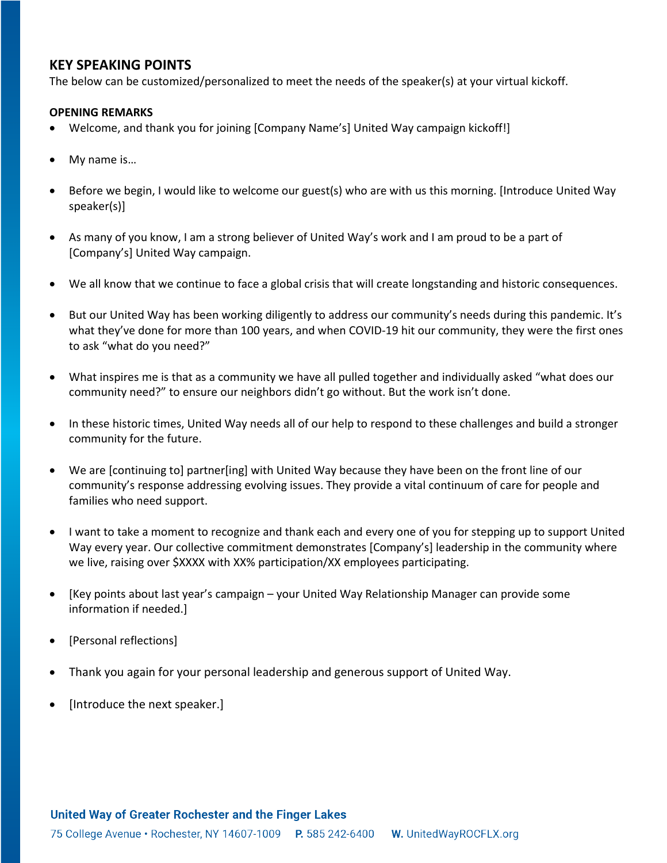## **KEY SPEAKING POINTS**

The below can be customized/personalized to meet the needs of the speaker(s) at your virtual kickoff.

### **OPENING REMARKS**

- Welcome, and thank you for joining [Company Name's] United Way campaign kickoff!]
- My name is…
- Before we begin, I would like to welcome our guest(s) who are with us this morning. [Introduce United Way speaker(s)]
- As many of you know, I am a strong believer of United Way's work and I am proud to be a part of [Company's] United Way campaign.
- We all know that we continue to face a global crisis that will create longstanding and historic consequences.
- But our United Way has been working diligently to address our community's needs during this pandemic. It's what they've done for more than 100 years, and when COVID-19 hit our community, they were the first ones to ask "what do you need?"
- What inspires me is that as a community we have all pulled together and individually asked "what does our community need?" to ensure our neighbors didn't go without. But the work isn't done.
- In these historic times, United Way needs all of our help to respond to these challenges and build a stronger community for the future.
- We are [continuing to] partner[ing] with United Way because they have been on the front line of our community's response addressing evolving issues. They provide a vital continuum of care for people and families who need support.
- I want to take a moment to recognize and thank each and every one of you for stepping up to support United Way every year. Our collective commitment demonstrates [Company's] leadership in the community where we live, raising over \$XXXX with XX% participation/XX employees participating.
- [Key points about last year's campaign your United Way Relationship Manager can provide some information if needed.]
- [Personal reflections]
- Thank you again for your personal leadership and generous support of United Way.
- [Introduce the next speaker.]

### United Way of Greater Rochester and the Finger Lakes